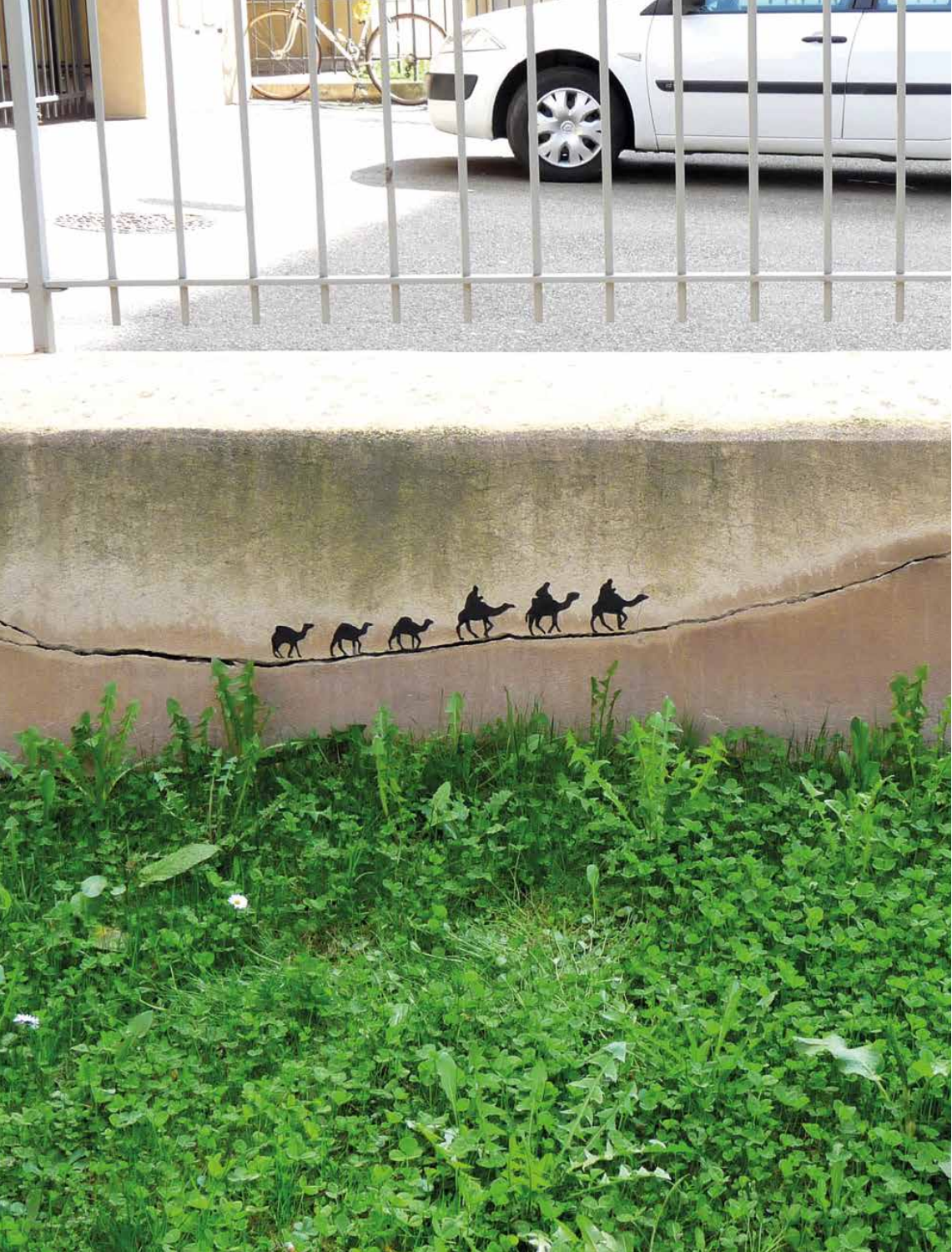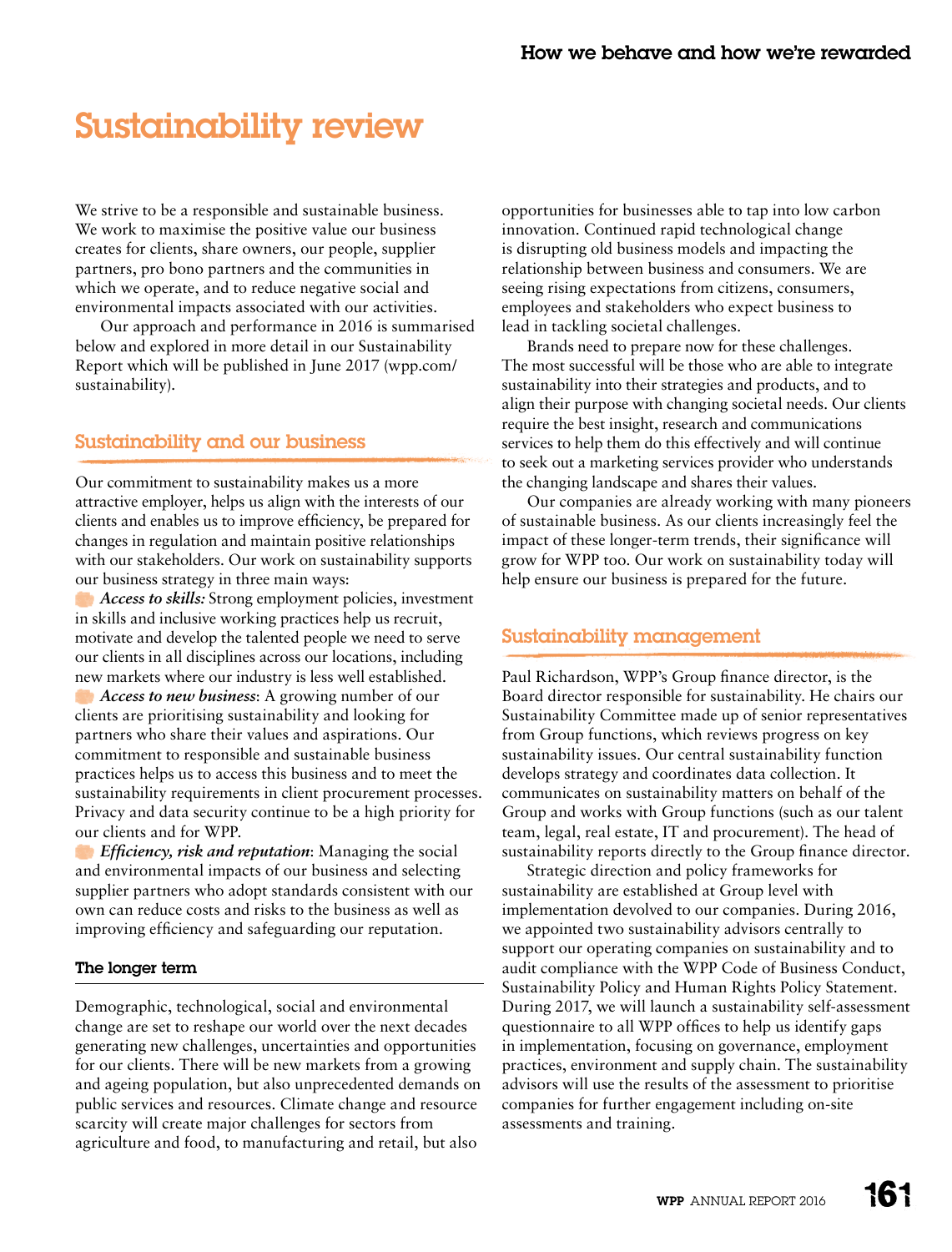# Sustainability review

We strive to be a responsible and sustainable business. We work to maximise the positive value our business creates for clients, share owners, our people, supplier partners, pro bono partners and the communities in which we operate, and to reduce negative social and environmental impacts associated with our activities.

Our approach and performance in 2016 is summarised below and explored in more detail in our Sustainability Report which will be published in June 2017 [\(wpp.com/](http://www.wpp.com/wpp/sustainability/) [sustainability](http://www.wpp.com/sustainability)).

# Sustainability and our business

Our commitment to sustainability makes us a more attractive employer, helps us align with the interests of our clients and enables us to improve efficiency, be prepared for changes in regulation and maintain positive relationships with our stakeholders. Our work on sustainability supports our business strategy in three main ways:

*Access to skills:* Strong employment policies, investment in skills and inclusive working practices help us recruit, motivate and develop the talented people we need to serve our clients in all disciplines across our locations, including new markets where our industry is less well established.

*Access to new business*: A growing number of our clients are prioritising sustainability and looking for partners who share their values and aspirations. Our commitment to responsible and sustainable business practices helps us to access this business and to meet the sustainability requirements in client procurement processes. Privacy and data security continue to be a high priority for our clients and for WPP.

*Efficiency, risk and reputation*: Managing the social and environmental impacts of our business and selecting supplier partners who adopt standards consistent with our own can reduce costs and risks to the business as well as improving efficiency and safeguarding our reputation.

## The longer term

Demographic, technological, social and environmental change are set to reshape our world over the next decades generating new challenges, uncertainties and opportunities for our clients. There will be new markets from a growing and ageing population, but also unprecedented demands on public services and resources. Climate change and resource scarcity will create major challenges for sectors from agriculture and food, to manufacturing and retail, but also

opportunities for businesses able to tap into low carbon innovation. Continued rapid technological change is disrupting old business models and impacting the relationship between business and consumers. We are seeing rising expectations from citizens, consumers, employees and stakeholders who expect business to lead in tackling societal challenges.

Brands need to prepare now for these challenges. The most successful will be those who are able to integrate sustainability into their strategies and products, and to align their purpose with changing societal needs. Our clients require the best insight, research and communications services to help them do this effectively and will continue to seek out a marketing services provider who understands the changing landscape and shares their values.

Our companies are already working with many pioneers of sustainable business. As our clients increasingly feel the impact of these longer-term trends, their significance will grow for WPP too. Our work on sustainability today will help ensure our business is prepared for the future.

## Sustainability management

Paul Richardson, WPP's Group finance director, is the Board director responsible for sustainability. He chairs our Sustainability Committee made up of senior representatives from Group functions, which reviews progress on key sustainability issues. Our central sustainability function develops strategy and coordinates data collection. It communicates on sustainability matters on behalf of the Group and works with Group functions (such as our talent team, legal, real estate, IT and procurement). The head of sustainability reports directly to the Group finance director.

Strategic direction and policy frameworks for sustainability are established at Group level with implementation devolved to our companies. During 2016, we appointed two sustainability advisors centrally to support our operating companies on sustainability and to audit compliance with the WPP Code of Business Conduct, Sustainability Policy and Human Rights Policy Statement. During 2017, we will launch a sustainability self-assessment questionnaire to all WPP offices to help us identify gaps in implementation, focusing on governance, employment practices, environment and supply chain. The sustainability advisors will use the results of the assessment to prioritise companies for further engagement including on-site assessments and training.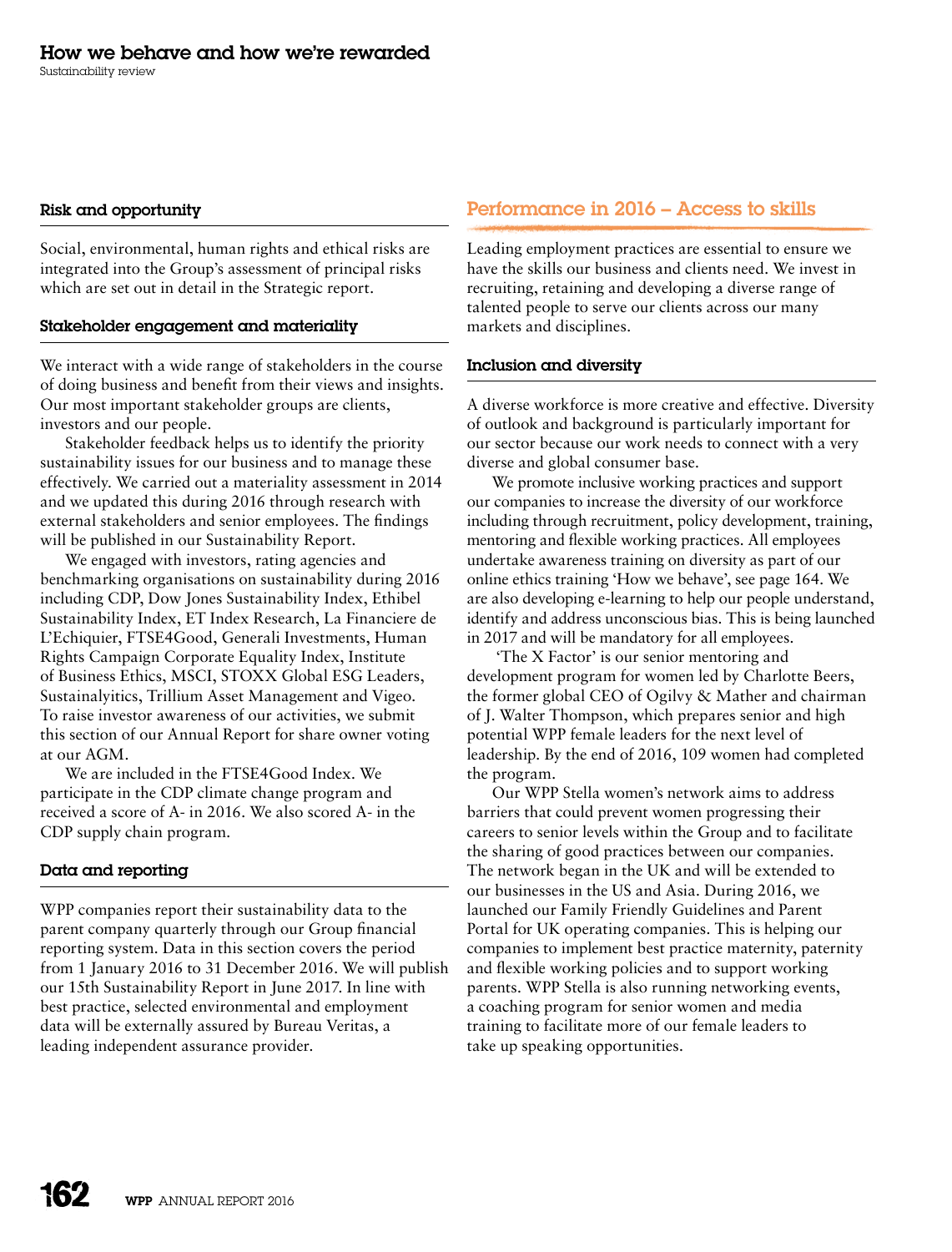## Risk and opportunity

Social, environmental, human rights and ethical risks are integrated into the Group's assessment of principal risks which are set out in detail in the Strategic report.

## Stakeholder engagement and materiality

We interact with a wide range of stakeholders in the course of doing business and benefit from their views and insights. Our most important stakeholder groups are clients, investors and our people.

Stakeholder feedback helps us to identify the priority sustainability issues for our business and to manage these effectively. We carried out a materiality assessment in 2014 and we updated this during 2016 through research with external stakeholders and senior employees. The findings will be published in our Sustainability Report.

We engaged with investors, rating agencies and benchmarking organisations on sustainability during 2016 including CDP, Dow Jones Sustainability Index, Ethibel Sustainability Index, ET Index Research, La Financiere de L'Echiquier, FTSE4Good, Generali Investments, Human Rights Campaign Corporate Equality Index, Institute of Business Ethics, MSCI, STOXX Global ESG Leaders, Sustainalyitics, Trillium Asset Management and Vigeo. To raise investor awareness of our activities, we submit this section of our Annual Report for share owner voting at our AGM.

We are included in the FTSE4Good Index. We participate in the CDP climate change program and received a score of A- in 2016. We also scored A- in the CDP supply chain program.

#### Data and reporting

WPP companies report their sustainability data to the parent company quarterly through our Group financial reporting system. Data in this section covers the period from 1 January 2016 to 31 December 2016. We will publish our 15th Sustainability Report in June 2017. In line with best practice, selected environmental and employment data will be externally assured by Bureau Veritas, a leading independent assurance provider.

# Performance in 2016 – Access to skills

Leading employment practices are essential to ensure we have the skills our business and clients need. We invest in recruiting, retaining and developing a diverse range of talented people to serve our clients across our many markets and disciplines.

#### Inclusion and diversity

A diverse workforce is more creative and effective. Diversity of outlook and background is particularly important for our sector because our work needs to connect with a very diverse and global consumer base.

We promote inclusive working practices and support our companies to increase the diversity of our workforce including through recruitment, policy development, training, mentoring and flexible working practices. All employees undertake awareness training on diversity as part of our online ethics training 'How we behave', see page 164. We are also developing e-learning to help our people understand, identify and address unconscious bias. This is being launched in 2017 and will be mandatory for all employees.

 'The X Factor' is our senior mentoring and development program for women led by Charlotte Beers, the former global CEO of Ogilvy & Mather and chairman of J. Walter Thompson, which prepares senior and high potential WPP female leaders for the next level of leadership. By the end of 2016, 109 women had completed the program.

Our WPP Stella women's network aims to address barriers that could prevent women progressing their careers to senior levels within the Group and to facilitate the sharing of good practices between our companies. The network began in the UK and will be extended to our businesses in the US and Asia. During 2016, we launched our Family Friendly Guidelines and Parent Portal for UK operating companies. This is helping our companies to implement best practice maternity, paternity and flexible working policies and to support working parents. WPP Stella is also running networking events, a coaching program for senior women and media training to facilitate more of our female leaders to take up speaking opportunities.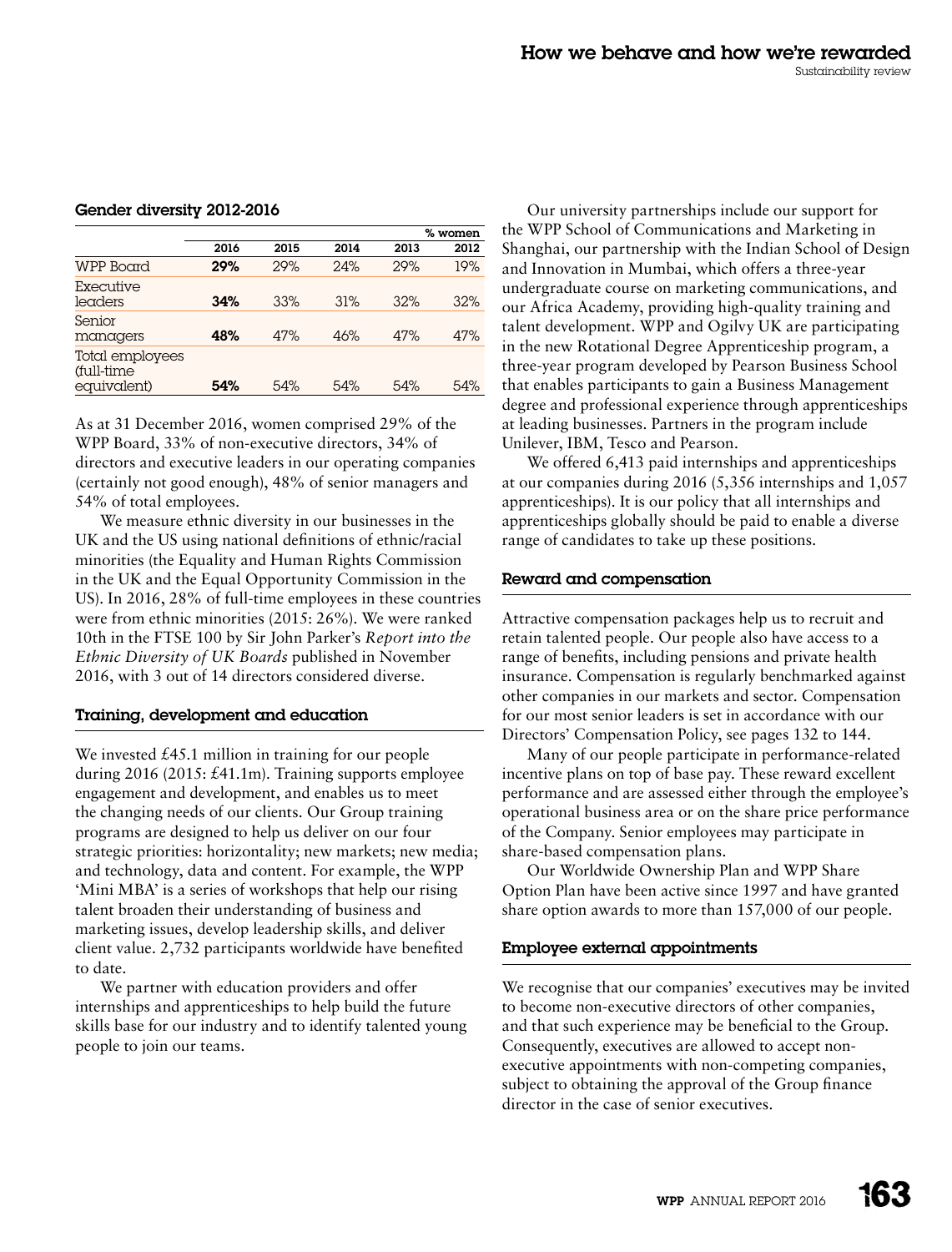#### Gender diversity 2012-2016

|                                                     |      |      | % women |      |      |  |  |
|-----------------------------------------------------|------|------|---------|------|------|--|--|
|                                                     | 2016 | 2015 | 2014    | 2013 | 2012 |  |  |
| <b>WPP Board</b>                                    | 29%  | 29%  | 24%     | 29%  | 19%  |  |  |
| Executive<br>leaders                                | 34%  | 33%  | 31%     | 32%  | 32%  |  |  |
| Senior<br>managers                                  | 48%  | 47%  | 46%     | 47%  | 47%  |  |  |
| <b>Total employees</b><br>(full-time<br>equivalent) | 54%  | 54%  | 54%     | 54%  | 54%  |  |  |

As at 31 December 2016, women comprised 29% of the WPP Board, 33% of non-executive directors, 34% of directors and executive leaders in our operating companies (certainly not good enough), 48% of senior managers and 54% of total employees.

We measure ethnic diversity in our businesses in the UK and the US using national definitions of ethnic/racial minorities (the Equality and Human Rights Commission in the UK and the Equal Opportunity Commission in the US). In 2016, 28% of full-time employees in these countries were from ethnic minorities (2015: 26%). We were ranked 10th in the FTSE 100 by Sir John Parker's *Report into the Ethnic Diversity of UK Boards* published in November 2016, with 3 out of 14 directors considered diverse.

#### Training, development and education

We invested £45.1 million in training for our people during 2016 (2015: £41.1m). Training supports employee engagement and development, and enables us to meet the changing needs of our clients. Our Group training programs are designed to help us deliver on our four strategic priorities: horizontality; new markets; new media; and technology, data and content. For example, the WPP 'Mini MBA' is a series of workshops that help our rising talent broaden their understanding of business and marketing issues, develop leadership skills, and deliver client value. 2,732 participants worldwide have benefited to date.

We partner with education providers and offer internships and apprenticeships to help build the future skills base for our industry and to identify talented young people to join our teams.

Our university partnerships include our support for the WPP School of Communications and Marketing in Shanghai, our partnership with the Indian School of Design and Innovation in Mumbai, which offers a three-year undergraduate course on marketing communications, and our Africa Academy, providing high-quality training and talent development. WPP and Ogilvy UK are participating in the new Rotational Degree Apprenticeship program, a three-year program developed by Pearson Business School that enables participants to gain a Business Management degree and professional experience through apprenticeships at leading businesses. Partners in the program include Unilever, IBM, Tesco and Pearson.

We offered 6,413 paid internships and apprenticeships at our companies during 2016 (5,356 internships and 1,057 apprenticeships). It is our policy that all internships and apprenticeships globally should be paid to enable a diverse range of candidates to take up these positions.

#### Reward and compensation

Attractive compensation packages help us to recruit and retain talented people. Our people also have access to a range of benefits, including pensions and private health insurance. Compensation is regularly benchmarked against other companies in our markets and sector. Compensation for our most senior leaders is set in accordance with our Directors' Compensation Policy, see pages 132 to 144.

Many of our people participate in performance-related incentive plans on top of base pay. These reward excellent performance and are assessed either through the employee's operational business area or on the share price performance of the Company. Senior employees may participate in share-based compensation plans.

Our Worldwide Ownership Plan and WPP Share Option Plan have been active since 1997 and have granted share option awards to more than 157,000 of our people.

#### Employee external appointments

We recognise that our companies' executives may be invited to become non-executive directors of other companies, and that such experience may be beneficial to the Group. Consequently, executives are allowed to accept nonexecutive appointments with non-competing companies, subject to obtaining the approval of the Group finance director in the case of senior executives.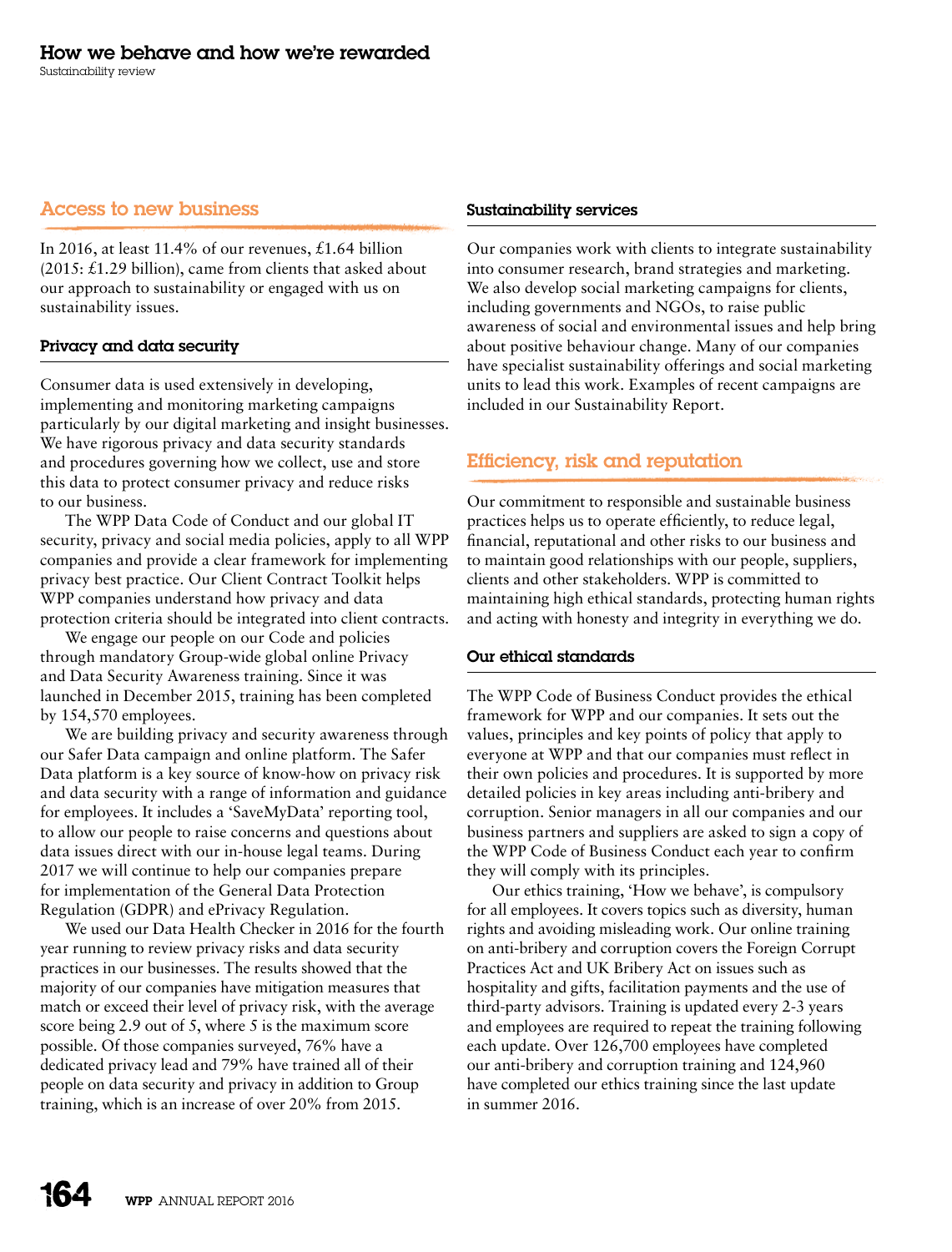# Access to new business

In 2016, at least 11.4% of our revenues, £1.64 billion  $(2015; \text{\textsterling}1.29 \text{ billion})$ , came from clients that asked about our approach to sustainability or engaged with us on sustainability issues.

## Privacy and data security

Consumer data is used extensively in developing, implementing and monitoring marketing campaigns particularly by our digital marketing and insight businesses. We have rigorous privacy and data security standards and procedures governing how we collect, use and store this data to protect consumer privacy and reduce risks to our business.

The WPP Data Code of Conduct and our global IT security, privacy and social media policies, apply to all WPP companies and provide a clear framework for implementing privacy best practice. Our Client Contract Toolkit helps WPP companies understand how privacy and data protection criteria should be integrated into client contracts.

We engage our people on our Code and policies through mandatory Group-wide global online Privacy and Data Security Awareness training. Since it was launched in December 2015, training has been completed by 154,570 employees.

We are building privacy and security awareness through our Safer Data campaign and online platform. The Safer Data platform is a key source of know-how on privacy risk and data security with a range of information and guidance for employees. It includes a 'SaveMyData' reporting tool, to allow our people to raise concerns and questions about data issues direct with our in-house legal teams. During 2017 we will continue to help our companies prepare for implementation of the General Data Protection Regulation (GDPR) and ePrivacy Regulation.

We used our Data Health Checker in 2016 for the fourth year running to review privacy risks and data security practices in our businesses. The results showed that the majority of our companies have mitigation measures that match or exceed their level of privacy risk, with the average score being 2.9 out of 5, where 5 is the maximum score possible. Of those companies surveyed, 76% have a dedicated privacy lead and 79% have trained all of their people on data security and privacy in addition to Group training, which is an increase of over 20% from 2015.

## Sustainability services

Our companies work with clients to integrate sustainability into consumer research, brand strategies and marketing. We also develop social marketing campaigns for clients, including governments and NGOs, to raise public awareness of social and environmental issues and help bring about positive behaviour change. Many of our companies have specialist sustainability offerings and social marketing units to lead this work. Examples of recent campaigns are included in our Sustainability Report.

# Efficiency, risk and reputation

Our commitment to responsible and sustainable business practices helps us to operate efficiently, to reduce legal, financial, reputational and other risks to our business and to maintain good relationships with our people, suppliers, clients and other stakeholders. WPP is committed to maintaining high ethical standards, protecting human rights and acting with honesty and integrity in everything we do.

## Our ethical standards

The WPP Code of Business Conduct provides the ethical framework for WPP and our companies. It sets out the values, principles and key points of policy that apply to everyone at WPP and that our companies must reflect in their own policies and procedures. It is supported by more detailed policies in key areas including anti-bribery and corruption. Senior managers in all our companies and our business partners and suppliers are asked to sign a copy of the WPP Code of Business Conduct each year to confirm they will comply with its principles.

Our ethics training, 'How we behave', is compulsory for all employees. It covers topics such as diversity, human rights and avoiding misleading work. Our online training on anti-bribery and corruption covers the Foreign Corrupt Practices Act and UK Bribery Act on issues such as hospitality and gifts, facilitation payments and the use of third-party advisors. Training is updated every 2-3 years and employees are required to repeat the training following each update. Over 126,700 employees have completed our anti-bribery and corruption training and 124,960 have completed our ethics training since the last update in summer 2016.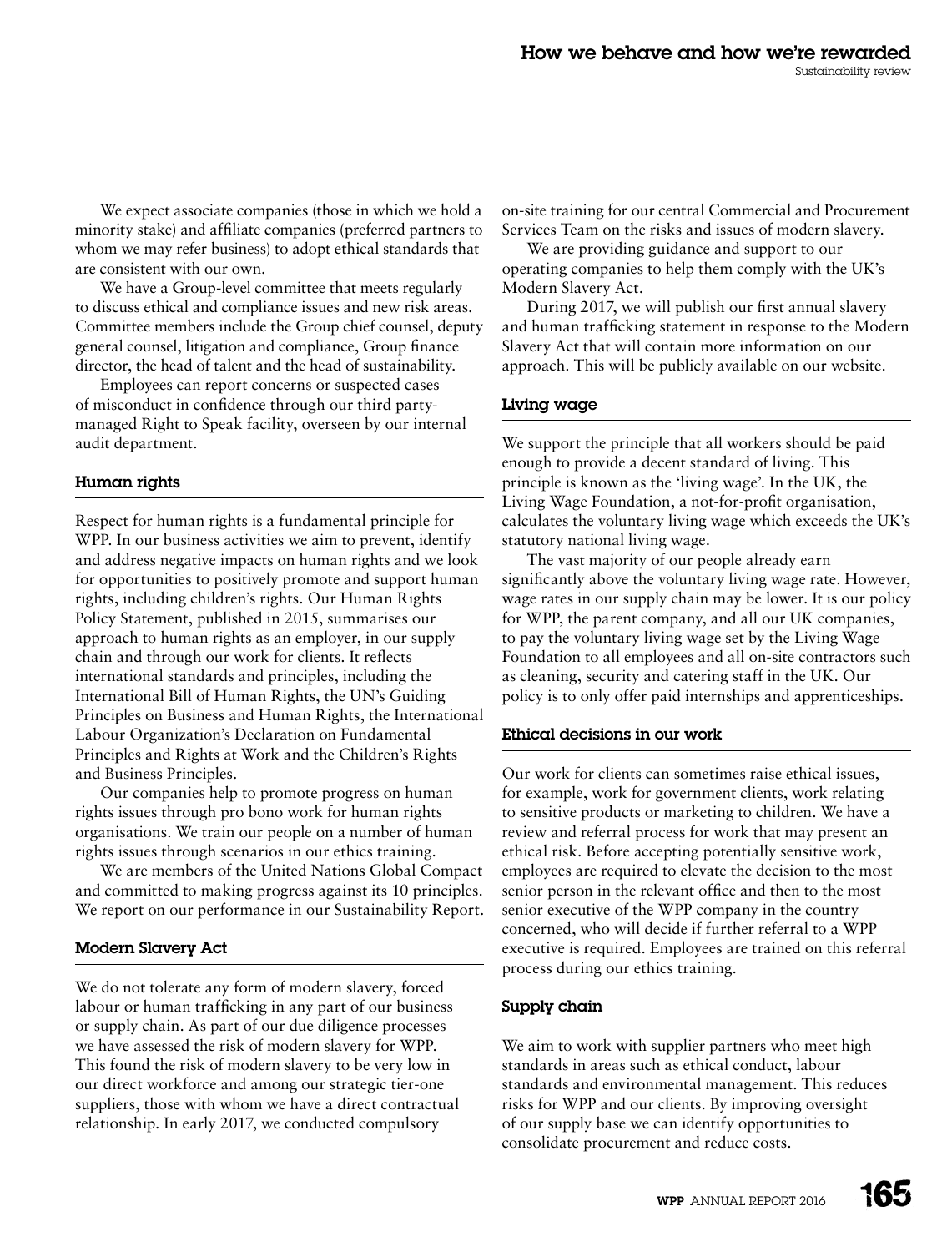We expect associate companies (those in which we hold a minority stake) and affiliate companies (preferred partners to whom we may refer business) to adopt ethical standards that are consistent with our own.

We have a Group-level committee that meets regularly to discuss ethical and compliance issues and new risk areas. Committee members include the Group chief counsel, deputy general counsel, litigation and compliance, Group finance director, the head of talent and the head of sustainability.

Employees can report concerns or suspected cases of misconduct in confidence through our third partymanaged Right to Speak facility, overseen by our internal audit department.

## Human rights

Respect for human rights is a fundamental principle for WPP. In our business activities we aim to prevent, identify and address negative impacts on human rights and we look for opportunities to positively promote and support human rights, including children's rights. Our Human Rights Policy Statement, published in 2015, summarises our approach to human rights as an employer, in our supply chain and through our work for clients. It reflects international standards and principles, including the International Bill of Human Rights, the UN's Guiding Principles on Business and Human Rights, the International Labour Organization's Declaration on Fundamental Principles and Rights at Work and the Children's Rights and Business Principles.

Our companies help to promote progress on human rights issues through pro bono work for human rights organisations. We train our people on a number of human rights issues through scenarios in our ethics training.

We are members of the United Nations Global Compact and committed to making progress against its 10 principles. We report on our performance in our Sustainability Report.

## Modern Slavery Act

We do not tolerate any form of modern slavery, forced labour or human trafficking in any part of our business or supply chain. As part of our due diligence processes we have assessed the risk of modern slavery for WPP. This found the risk of modern slavery to be very low in our direct workforce and among our strategic tier-one suppliers, those with whom we have a direct contractual relationship. In early 2017, we conducted compulsory

on-site training for our central Commercial and Procurement Services Team on the risks and issues of modern slavery.

We are providing guidance and support to our operating companies to help them comply with the UK's Modern Slavery Act.

During 2017, we will publish our first annual slavery and human trafficking statement in response to the Modern Slavery Act that will contain more information on our approach. This will be publicly available on our website.

## Living wage

We support the principle that all workers should be paid enough to provide a decent standard of living. This principle is known as the 'living wage'. In the UK, the Living Wage Foundation, a not-for-profit organisation, calculates the voluntary living wage which exceeds the UK's statutory national living wage.

The vast majority of our people already earn significantly above the voluntary living wage rate. However, wage rates in our supply chain may be lower. It is our policy for WPP, the parent company, and all our UK companies, to pay the voluntary living wage set by the Living Wage Foundation to all employees and all on-site contractors such as cleaning, security and catering staff in the UK. Our policy is to only offer paid internships and apprenticeships.

## Ethical decisions in our work

Our work for clients can sometimes raise ethical issues, for example, work for government clients, work relating to sensitive products or marketing to children. We have a review and referral process for work that may present an ethical risk. Before accepting potentially sensitive work, employees are required to elevate the decision to the most senior person in the relevant office and then to the most senior executive of the WPP company in the country concerned, who will decide if further referral to a WPP executive is required. Employees are trained on this referral process during our ethics training.

## Supply chain

We aim to work with supplier partners who meet high standards in areas such as ethical conduct, labour standards and environmental management. This reduces risks for WPP and our clients. By improving oversight of our supply base we can identify opportunities to consolidate procurement and reduce costs.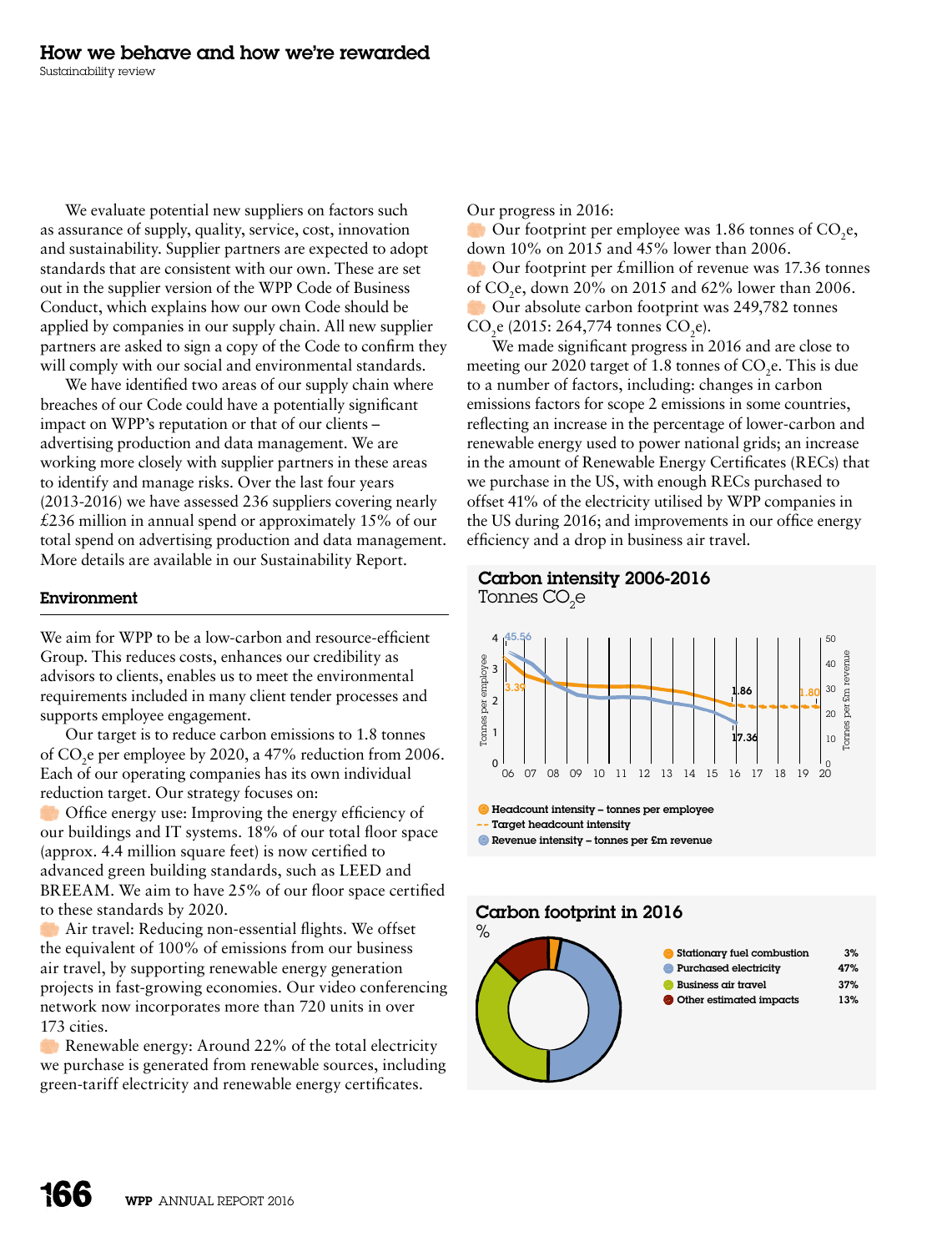We evaluate potential new suppliers on factors such as assurance of supply, quality, service, cost, innovation and sustainability. Supplier partners are expected to adopt standards that are consistent with our own. These are set out in the supplier version of the WPP Code of Business Conduct, which explains how our own Code should be applied by companies in our supply chain. All new supplier partners are asked to sign a copy of the Code to confirm they will comply with our social and environmental standards.

We have identified two areas of our supply chain where breaches of our Code could have a potentially significant impact on WPP's reputation or that of our clients – advertising production and data management. We are working more closely with supplier partners in these areas to identify and manage risks. Over the last four years (2013-2016) we have assessed 236 suppliers covering nearly £236 million in annual spend or approximately 15% of our total spend on advertising production and data management. More details are available in our Sustainability Report.

## Environment

We aim for WPP to be a low-carbon and resource-efficient Group. This reduces costs, enhances our credibility as advisors to clients, enables us to meet the environmental requirements included in many client tender processes and supports employee engagement.

Our target is to reduce carbon emissions to 1.8 tonnes of  $CO_2$ e per employee by 2020, a 47% reduction from 2006. Each of our operating companies has its own individual reduction target. Our strategy focuses on:

Office energy use: Improving the energy efficiency of our buildings and IT systems. 18% of our total floor space (approx. 4.4 million square feet) is now certified to advanced green building standards, such as LEED and BREEAM. We aim to have 25% of our floor space certified to these standards by 2020.

Air travel: Reducing non-essential flights. We offset the equivalent of 100% of emissions from our business air travel, by supporting renewable energy generation projects in fast-growing economies. Our video conferencing network now incorporates more than 720 units in over 173 cities.

Renewable energy: Around 22% of the total electricity we purchase is generated from renewable sources, including green-tariff electricity and renewable energy certificates.

Our progress in 2016:

Our footprint per employee was  $1.86$  tonnes of CO<sub>2</sub>e, down 10% on 2015 and 45% lower than 2006. Our footprint per £million of revenue was 17.36 tonnes of CO2e, down 20% on 2015 and 62% lower than 2006. Our absolute carbon footprint was 249,782 tonnes CO<sub>2</sub>e (2015: 264,774 tonnes CO<sub>2</sub>e).

We made significant progress in 2016 and are close to meeting our 2020 target of 1.8 tonnes of  $CO<sub>2</sub>e$ . This is due to a number of factors, including: changes in carbon emissions factors for scope 2 emissions in some countries, reflecting an increase in the percentage of lower-carbon and renewable energy used to power national grids; an increase in the amount of Renewable Energy Certificates (RECs) that we purchase in the US, with enough RECs purchased to offset 41% of the electricity utilised by WPP companies in the US during 2016; and improvements in our office energy efficiency and a drop in business air travel.





 $\bullet$  Headcount intensity – tonnes per employee Target headcount intensity

# Carbon footprint in 2016